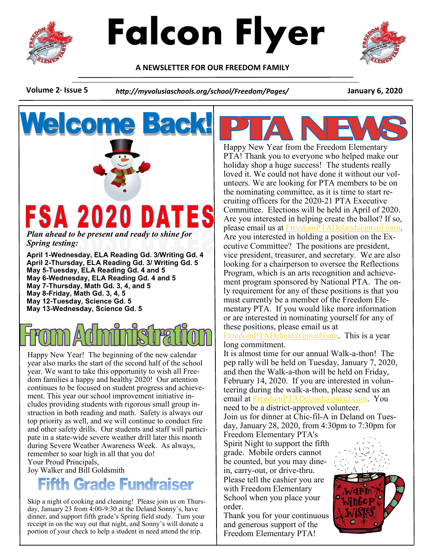



**A NEWSLETTER FOR OUR FREEDOM FAMILY**



**We com** 

**Volume 2· Issue 5** *http://myvolusiaschools.org/school/Freedom/Pages/* **January 6, 2020**

# FSA 2020 DATES

*Plan ahead to be present and ready to shine for Spring testing:*

**April 1-Wednesday, ELA Reading Gd. 3/Writing Gd. 4 April 2-Thursday, ELA Reading Gd. 3/ Writing Gd. 5 May 5-Tuesday, ELA Reading Gd. 4 and 5 May 6-Wednesday, ELA Reading Gd. 4 and 5 May 7-Thursday, Math Gd. 3, 4, and 5 May 8-Friday, Math Gd. 3, 4, 5 May 12-Tuesday, Science Gd. 5 May 13-Wednesday, Science Gd. 5**

remember to soar high in all that you do!<br>Your Proud Principals Happy New Year! The beginning of the new calendar year also marks the start of the second half of the school year. We want to take this opportunity to wish all Freedom families a happy and healthy 2020! Our attention continues to be focused on student progress and achievement. This year our school improvement initiative includes providing students with rigorous small group instruction in both reading and math. Safety is always our top priority as well, and we will continue to conduct fire and other safety drills. Our students and staff will participate in a state-wide severe weather drill later this month during Severe Weather Awareness Week. As always, Your Proud Principals,

Joy Walker and Bill Goldsmith

# **Fifth Grade Fundraiser**

Skip a night of cooking and cleaning! Please join us on Thursday, January 23 from 4:00-9:30 at the Deland Sonny's, have dinner, and support fifth grade's Spring field study. Turn your receipt in on the way out that night, and Sonny's will donate a portion of your check to help a student in need attend the trip.



Happy New Year from the Freedom Elementary PTA! Thank you to everyone who helped make our holiday shop a huge success! The students really loved it. We could not have done it without our volunteers. We are looking for PTA members to be on the nominating committee, as it is time to start recruiting officers for the 2020-21 PTA Executive Committee. Elections will be held in April of 2020. Are you interested in helping create the ballot? If so, please email us at [FreedomPTADeland@gmail.com.](mailto:FreedomPTADeland@gmail.com) Are you interested in holding a position on the Executive Committee? The positions are president, vice president, treasurer, and secretary. We are also looking for a chairperson to oversee the Reflections Program, which is an arts recognition and achievement program sponsored by National PTA. The only requirement for any of these positions is that you must currently be a member of the Freedom Elementary PTA. If you would like more information or are interested in nominating yourself for any of these positions, please email us at

[FreedomPTADeland@gmail.com.](mailto:FreedomPTADeland@gmail.com) This is a year long commitment.

It is almost time for our annual Walk-a-thon! The pep rally will be held on Tuesday, January 7, 2020, and then the Walk-a-thon will be held on Friday, February 14, 2020. If you are interested in volunteering during the walk-a-thon, please send us an email at [FreedomPTADeland@gmail.com.](mailto:FreedomPTADeland@gmail.com) You need to be a district-approved volunteer. Join us for dinner at Chic-fil-A in Deland on Tuesday, January 28, 2020, from 4:30pm to 7:30pm for

Freedom Elementary PTA's Spirit Night to support the fifth grade. Mobile orders cannot be counted, but you may dinein, carry-out, or drive-thru. Please tell the cashier you are with Freedom Elementary School when you place your order.

Thank you for your continuous and generous support of the Freedom Elementary PTA!